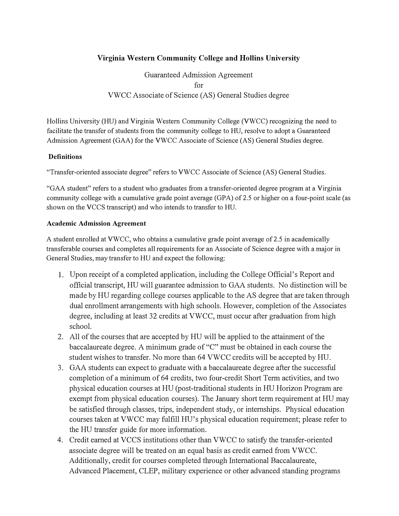### **Virginia Western Community College and Hollins University**

Guaranteed Admission Agreement  $for$ VWCC Associate of Science (AS) General Studies degree

Hollins University (HU) and Virginia Western Community College (VWCC) recognizing the need to facilitate the transfer of students from the community college to HU, resolve to adopt a Guaranteed Admission Agreement (GAA) for the VWCC Associate of Science (AS) General Studies degree.

#### **Definitions**

"Transfer-oriented associate degree" refers to VWCC Associate of Science (AS) General Studies.

"GAA student" refers to a student who graduates from a transfer-oriented degree program at a Virginia community college with a cumulative grade point average (GPA) of 2.5 or higher on a four-point scale (as shown on the VCCS transcript) and who intends to transfer to HU.

#### **Academic Admission Agreement**

A student enrolled at VWCC, who obtains a cumulative grade point average of 2.5 in academically transferable courses and completes all requirements for an Associate of Science degree with a major in General Studies, may transfer to HU and expect the following:

- 1. Upon receipt of a completed application, including the College Official's Report and official transcript, HU will guarantee admission to GAA students. No distinction will be made by HU regarding college courses applicable to the AS degree that are taken through dual enrollment arrangements with high schools. However, completion of the Associates degree, including at least 32 credits at VWCC, must occur after graduation from high school.
- 2. All of the courses that are accepted by HU will be applied to the attainment of the baccalaureate degree. A minimum grade of "C" must be obtained in each course the student wishes to transfer. No more than 64 VWCC credits will be accepted by HU.
- 3. GAA students can expect to graduate with a baccalaureate degree after the successful completion of a minimum of 64 credits, two four-credit Short Term activities, and two physical education courses at HU (post-traditional students in HU Horizon Program are exempt from physical education courses). The January short term requirement at HU may be satisfied through classes, trips, independent study, or internships. Physical education courses taken at VWCC may fulfill HU's physical education requirement; please refer to the HU transfer guide for more information.
- 4. Credit earned at VCCS institutions other than VWCC to satisfy the transfer-oriented associate degree will be treated on an equal basis as credit earned from VWCC. Additionally, credit for courses completed through International Baccalaureate, Advanced Placement, CLEP, military experience or other advanced standing programs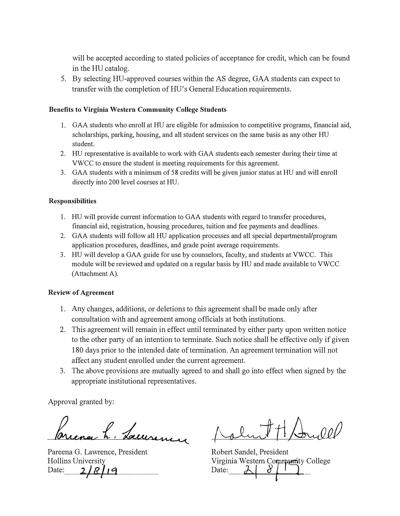**will be accepted according to stated policies of acceptance for credit, which can be found in the HU catalog.** 

**5. By selecting HU-approved courses within the AS degree, GAA students can expect to**  transfer with the completion of HU's General Education requirements.

#### **Benefits to Virginia Western Community College Students**

- **1. GAA students who enroll at HU are eligible for admission to competitive programs, financial aid, scholarships, parking, housing, and all student services on the same basis as any other HU student.**
- **2. HU representative is available to work with GAA students each semester during their time at VWCC to ensure the student is meeting requirements for this agreement.**
- **3. GAA students with a minimum of 58 credits will be given junior status at HU and will enroll directly into 200 level courses at HU.**

#### **Responsibilities**

- **1. HU will provide current information to GAA students with regard to transfer procedures, financial aid, registration, housing procedures, tuition and fee payments and deadlines.**
- 2. GAA students will follow all HU application processes and all special departmental/program **application procedures, deadlines, and grade point average requirements.**
- **3. HU will develop a GAA guide for use by counselors, faculty, and students at VWCC. This module will be reviewed and updated on a regular basis by HU and made available to VWCC (Attachment A).**

#### **Review of Agreement**

- **1. Any changes, additions, or deletions to this agreement shall be made only after consultation with and agreement among officials at both institutions.**
- 2. This agreement will remain in effect until terminated by either party upon written notice **to the other party of an intention to terminate. Such notice shall be effective only if given**  180 days prior to the intended date of termination. An agreement termination will not **affect any student emolled under the current agreement.**
- **3. The above provisions are mutually agreed to and shall go into effect when signed by the appropriate institutional representatives.**

**Approval granted by:** 

h. Lacuren

**Pareena G. Lawrence, President Hollins University**  Date: 2/8/19

**Robert Sandel, President**  Virginia Western Community College<br>Date:  $\begin{array}{c} \bigcup \ \mathcal{E} \end{array}$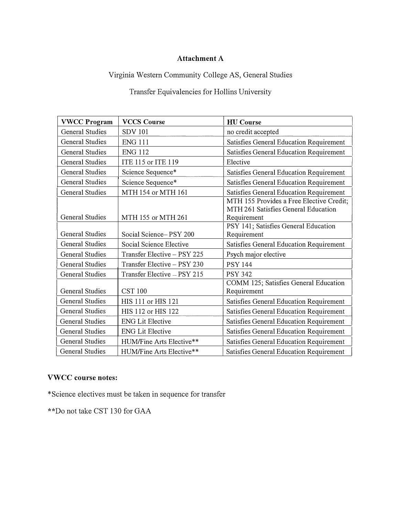## **Attachment A**

# **Virginia Western Community College AS, General Studies**

**Transfer Equivalencies for Hollins University** 

| <b>VWCC Program</b>    | <b>VCCS Course</b>          | <b>HU</b> Course                                                                |
|------------------------|-----------------------------|---------------------------------------------------------------------------------|
| <b>General Studies</b> | <b>SDV 101</b>              | no credit accepted                                                              |
| <b>General Studies</b> | <b>ENG 111</b>              | Satisfies General Education Requirement                                         |
| <b>General Studies</b> | <b>ENG 112</b>              | Satisfies General Education Requirement                                         |
| <b>General Studies</b> | ITE 115 or ITE 119          | Elective                                                                        |
| <b>General Studies</b> | Science Sequence*           | Satisfies General Education Requirement                                         |
| <b>General Studies</b> | Science Sequence*           | Satisfies General Education Requirement                                         |
| <b>General Studies</b> | MTH 154 or MTH 161          | Satisfies General Education Requirement                                         |
|                        |                             | MTH 155 Provides a Free Elective Credit;<br>MTH 261 Satisfies General Education |
| <b>General Studies</b> | MTH 155 or MTH 261          | Requirement                                                                     |
| <b>General Studies</b> | Social Science-PSY 200      | PSY 141; Satisfies General Education<br>Requirement                             |
| <b>General Studies</b> | Social Science Elective     | Satisfies General Education Requirement                                         |
| <b>General Studies</b> | Transfer Elective - PSY 225 | Psych major elective                                                            |
| <b>General Studies</b> | Transfer Elective - PSY 230 | <b>PSY 144</b>                                                                  |
| <b>General Studies</b> | Transfer Elective - PSY 215 | <b>PSY 342</b>                                                                  |
| <b>General Studies</b> | <b>CST 100</b>              | COMM 125; Satisfies General Education<br>Requirement                            |
| <b>General Studies</b> | HIS 111 or HIS 121          | Satisfies General Education Requirement                                         |
| <b>General Studies</b> | HIS 112 or HIS 122          | Satisfies General Education Requirement                                         |
| <b>General Studies</b> | <b>ENG Lit Elective</b>     | Satisfies General Education Requirement                                         |
| General Studies        | <b>ENG Lit Elective</b>     | Satisfies General Education Requirement                                         |
| <b>General Studies</b> | HUM/Fine Arts Elective**    | Satisfies General Education Requirement                                         |
| <b>General Studies</b> | HUM/Fine Arts Elective**    | Satisfies General Education Requirement                                         |

# **VWCC course notes:**

**\*Science electives must be taken in sequence for transfer** 

**\*\*Do not take CST 130 for GAA**